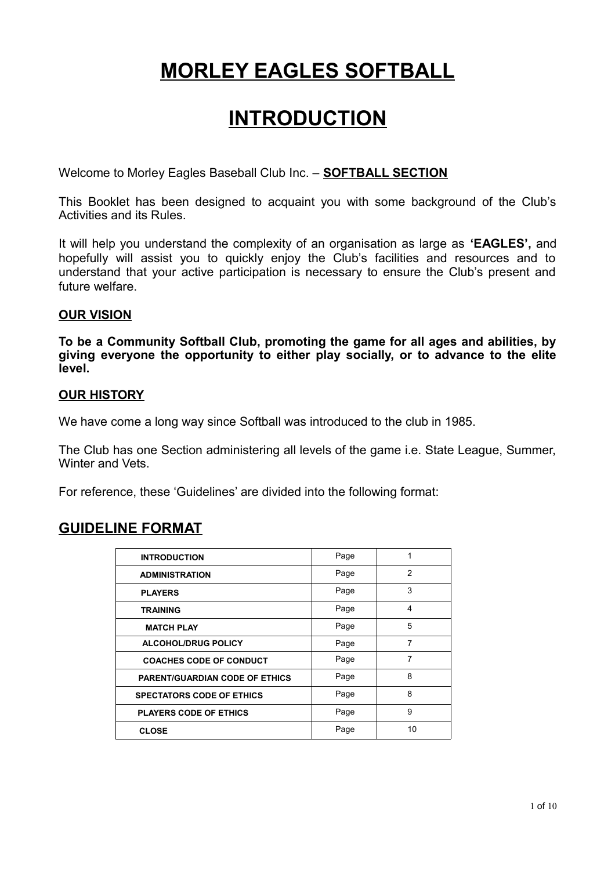# **MORLEY EAGLES SOFTBALL**

# **INTRODUCTION**

Welcome to Morley Eagles Baseball Club Inc. – **SOFTBALL SECTION**

This Booklet has been designed to acquaint you with some background of the Club's Activities and its Rules.

It will help you understand the complexity of an organisation as large as **'EAGLES',** and hopefully will assist you to quickly enjoy the Club's facilities and resources and to understand that your active participation is necessary to ensure the Club's present and future welfare.

# **OUR VISION**

**To be a Community Softball Club, promoting the game for all ages and abilities, by giving everyone the opportunity to either play socially, or to advance to the elite level.**

## **OUR HISTORY**

We have come a long way since Softball was introduced to the club in 1985.

The Club has one Section administering all levels of the game i.e. State League, Summer, Winter and Vets.

For reference, these 'Guidelines' are divided into the following format:

# **GUIDELINE FORMAT**

| <b>INTRODUCTION</b>                   | Page | 1              |
|---------------------------------------|------|----------------|
| <b>ADMINISTRATION</b>                 | Page | $\overline{2}$ |
| <b>PLAYERS</b>                        | Page | 3              |
| <b>TRAINING</b>                       | Page | 4              |
| <b>MATCH PLAY</b>                     | Page | 5              |
| <b>ALCOHOL/DRUG POLICY</b>            | Page | 7              |
| <b>COACHES CODE OF CONDUCT</b>        | Page | 7              |
| <b>PARENT/GUARDIAN CODE OF ETHICS</b> | Page | 8              |
| <b>SPECTATORS CODE OF ETHICS</b>      | Page | 8              |
| <b>PLAYERS CODE OF ETHICS</b>         | Page | 9              |
| <b>CLOSE</b>                          | Page | 10             |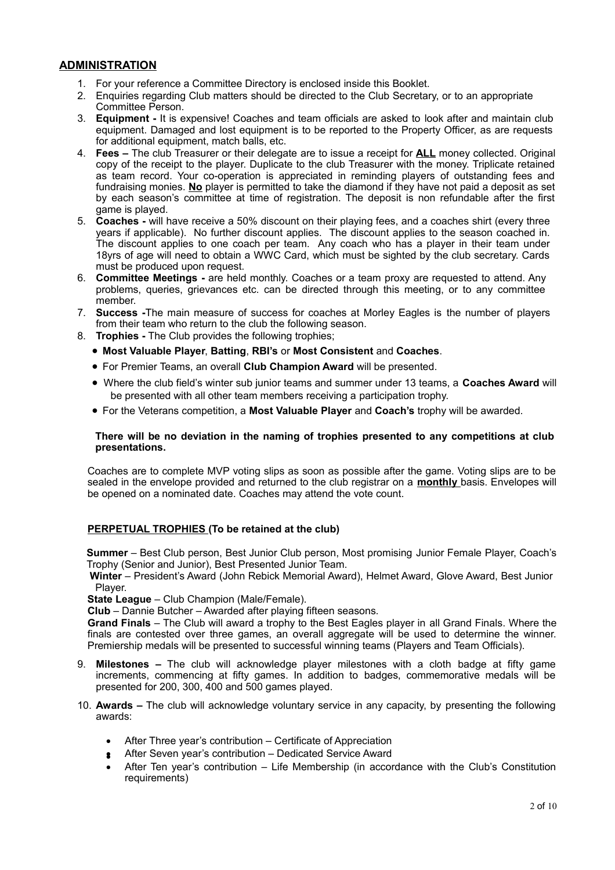## **ADMINISTRATION**

- 1. For your reference a Committee Directory is enclosed inside this Booklet.
- 2. Enquiries regarding Club matters should be directed to the Club Secretary, or to an appropriate Committee Person.
- 3. **Equipment** It is expensive! Coaches and team officials are asked to look after and maintain club equipment. Damaged and lost equipment is to be reported to the Property Officer, as are requests for additional equipment, match balls, etc.
- 4. **Fees** The club Treasurer or their delegate are to issue a receipt for **ALL** money collected. Original copy of the receipt to the player. Duplicate to the club Treasurer with the money. Triplicate retained as team record. Your co-operation is appreciated in reminding players of outstanding fees and fundraising monies. **No** player is permitted to take the diamond if they have not paid a deposit as set by each season's committee at time of registration. The deposit is non refundable after the first game is played.
- 5. **Coaches -** will have receive a 50% discount on their playing fees, and a coaches shirt (every three years if applicable). No further discount applies. The discount applies to the season coached in. The discount applies to one coach per team. Any coach who has a player in their team under 18yrs of age will need to obtain a WWC Card, which must be sighted by the club secretary. Cards must be produced upon request.
- 6. **Committee Meetings** are held monthly. Coaches or a team proxy are requested to attend. Any problems, queries, grievances etc. can be directed through this meeting, or to any committee member.
- 7. **Success -**The main measure of success for coaches at Morley Eagles is the number of players from their team who return to the club the following season.
- 8. **Trophies** The Club provides the following trophies;
	- **Most Valuable Player**, **Batting**, **RBI's** or **Most Consistent** and **Coaches**.
	- For Premier Teams, an overall **Club Champion Award** will be presented.
	- Where the club field's winter sub junior teams and summer under 13 teams, a **Coaches Award** will be presented with all other team members receiving a participation trophy.
	- For the Veterans competition, a **Most Valuable Player** and **Coach's** trophy will be awarded.

#### **There will be no deviation in the naming of trophies presented to any competitions at club presentations.**

Coaches are to complete MVP voting slips as soon as possible after the game. Voting slips are to be sealed in the envelope provided and returned to the club registrar on a **monthly** basis. Envelopes will be opened on a nominated date. Coaches may attend the vote count.

### **PERPETUAL TROPHIES (To be retained at the club)**

**Summer** – Best Club person, Best Junior Club person, Most promising Junior Female Player, Coach's Trophy (Senior and Junior), Best Presented Junior Team.

 **Winter** – President's Award (John Rebick Memorial Award), Helmet Award, Glove Award, Best Junior Player.

**State League** – Club Champion (Male/Female).

**Club** – Dannie Butcher – Awarded after playing fifteen seasons.

**Grand Finals** – The Club will award a trophy to the Best Eagles player in all Grand Finals. Where the finals are contested over three games, an overall aggregate will be used to determine the winner. Premiership medals will be presented to successful winning teams (Players and Team Officials).

- 9. **Milestones –** The club will acknowledge player milestones with a cloth badge at fifty game increments, commencing at fifty games. In addition to badges, commemorative medals will be presented for 200, 300, 400 and 500 games played.
- 10. **Awards –** The club will acknowledge voluntary service in any capacity, by presenting the following awards:
	- After Three year's contribution Certificate of Appreciation
	- After Seven year's contribution Dedicated Service Award
	- After Ten year's contribution Life Membership (in accordance with the Club's Constitution requirements)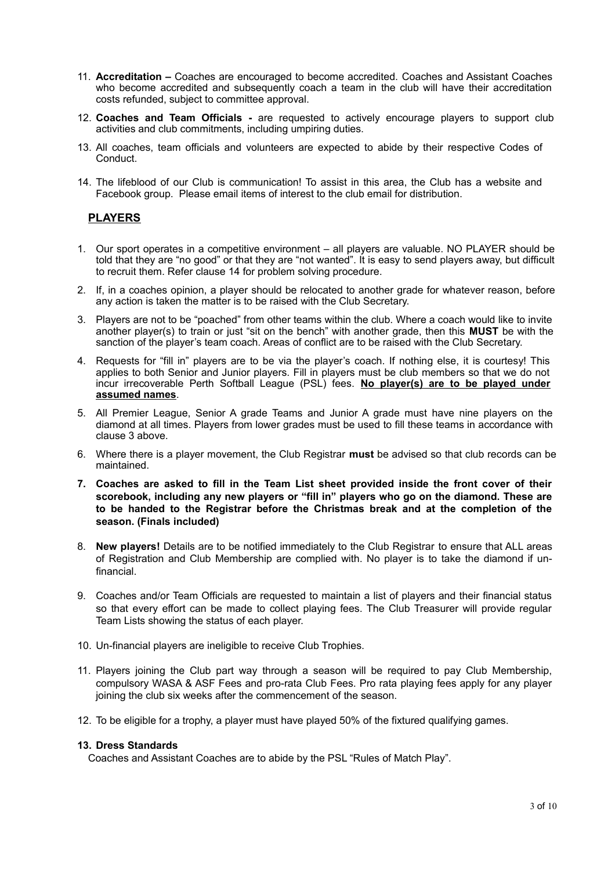- 11. **Accreditation –** Coaches are encouraged to become accredited. Coaches and Assistant Coaches who become accredited and subsequently coach a team in the club will have their accreditation costs refunded, subject to committee approval.
- 12. **Coaches and Team Officials -** are requested to actively encourage players to support club activities and club commitments, including umpiring duties.
- 13. All coaches, team officials and volunteers are expected to abide by their respective Codes of Conduct.
- 14. The lifeblood of our Club is communication! To assist in this area, the Club has a website and Facebook group. Please email items of interest to the club email for distribution.

## **PLAYERS**

- 1. Our sport operates in a competitive environment all players are valuable. NO PLAYER should be told that they are "no good" or that they are "not wanted". It is easy to send players away, but difficult to recruit them. Refer clause 14 for problem solving procedure.
- 2. If, in a coaches opinion, a player should be relocated to another grade for whatever reason, before any action is taken the matter is to be raised with the Club Secretary.
- 3. Players are not to be "poached" from other teams within the club. Where a coach would like to invite another player(s) to train or just "sit on the bench" with another grade, then this **MUST** be with the sanction of the player's team coach. Areas of conflict are to be raised with the Club Secretary.
- 4. Requests for "fill in" players are to be via the player's coach. If nothing else, it is courtesy! This applies to both Senior and Junior players. Fill in players must be club members so that we do not incur irrecoverable Perth Softball League (PSL) fees. **No player(s) are to be played under assumed names**.
- 5. All Premier League, Senior A grade Teams and Junior A grade must have nine players on the diamond at all times. Players from lower grades must be used to fill these teams in accordance with clause 3 above.
- 6. Where there is a player movement, the Club Registrar **must** be advised so that club records can be maintained.
- **7. Coaches are asked to fill in the Team List sheet provided inside the front cover of their scorebook, including any new players or "fill in" players who go on the diamond. These are to be handed to the Registrar before the Christmas break and at the completion of the season. (Finals included)**
- 8. **New players!** Details are to be notified immediately to the Club Registrar to ensure that ALL areas of Registration and Club Membership are complied with. No player is to take the diamond if unfinancial.
- 9. Coaches and/or Team Officials are requested to maintain a list of players and their financial status so that every effort can be made to collect playing fees. The Club Treasurer will provide regular Team Lists showing the status of each player.
- 10. Un-financial players are ineligible to receive Club Trophies.
- 11. Players joining the Club part way through a season will be required to pay Club Membership, compulsory WASA & ASF Fees and pro-rata Club Fees. Pro rata playing fees apply for any player joining the club six weeks after the commencement of the season.
- 12. To be eligible for a trophy, a player must have played 50% of the fixtured qualifying games.

#### **13. Dress Standards**

Coaches and Assistant Coaches are to abide by the PSL "Rules of Match Play".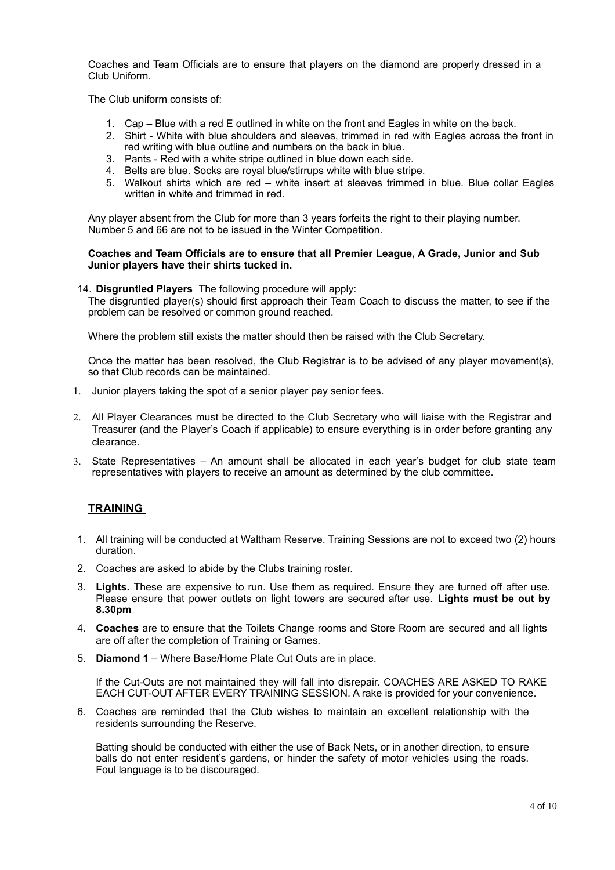Coaches and Team Officials are to ensure that players on the diamond are properly dressed in a Club Uniform.

The Club uniform consists of:

- 1. Cap Blue with a red E outlined in white on the front and Eagles in white on the back.
- 2. Shirt White with blue shoulders and sleeves, trimmed in red with Eagles across the front in red writing with blue outline and numbers on the back in blue.
- 3. Pants Red with a white stripe outlined in blue down each side.
- 4. Belts are blue. Socks are royal blue/stirrups white with blue stripe.
- 5. Walkout shirts which are red white insert at sleeves trimmed in blue. Blue collar Eagles written in white and trimmed in red.

Any player absent from the Club for more than 3 years forfeits the right to their playing number. Number 5 and 66 are not to be issued in the Winter Competition.

#### **Coaches and Team Officials are to ensure that all Premier League, A Grade, Junior and Sub Junior players have their shirts tucked in.**

#### 14. **Disgruntled Players** The following procedure will apply:

The disgruntled player(s) should first approach their Team Coach to discuss the matter, to see if the problem can be resolved or common ground reached.

Where the problem still exists the matter should then be raised with the Club Secretary.

Once the matter has been resolved, the Club Registrar is to be advised of any player movement(s), so that Club records can be maintained.

- 1. Junior players taking the spot of a senior player pay senior fees.
- 2. All Player Clearances must be directed to the Club Secretary who will liaise with the Registrar and Treasurer (and the Player's Coach if applicable) to ensure everything is in order before granting any clearance.
- 3. State Representatives An amount shall be allocated in each year's budget for club state team representatives with players to receive an amount as determined by the club committee.

## **TRAINING**

- 1. All training will be conducted at Waltham Reserve. Training Sessions are not to exceed two (2) hours duration.
- 2. Coaches are asked to abide by the Clubs training roster.
- 3. **Lights.** These are expensive to run. Use them as required. Ensure they are turned off after use. Please ensure that power outlets on light towers are secured after use. **Lights must be out by 8.30pm**
- 4. **Coaches** are to ensure that the Toilets Change rooms and Store Room are secured and all lights are off after the completion of Training or Games.
- 5. **Diamond 1**  Where Base/Home Plate Cut Outs are in place.

If the Cut-Outs are not maintained they will fall into disrepair. COACHES ARE ASKED TO RAKE EACH CUT-OUT AFTER EVERY TRAINING SESSION. A rake is provided for your convenience.

6. Coaches are reminded that the Club wishes to maintain an excellent relationship with the residents surrounding the Reserve.

Batting should be conducted with either the use of Back Nets, or in another direction, to ensure balls do not enter resident's gardens, or hinder the safety of motor vehicles using the roads. Foul language is to be discouraged.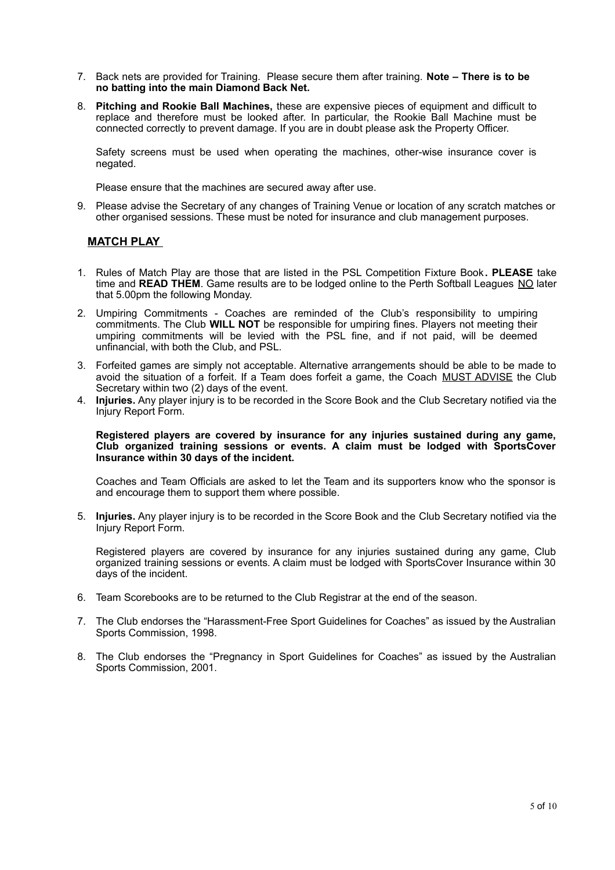- 7. Back nets are provided for Training. Please secure them after training. **Note There is to be no batting into the main Diamond Back Net.**
- 8. **Pitching and Rookie Ball Machines,** these are expensive pieces of equipment and difficult to replace and therefore must be looked after. In particular, the Rookie Ball Machine must be connected correctly to prevent damage. If you are in doubt please ask the Property Officer.

Safety screens must be used when operating the machines, other-wise insurance cover is negated.

Please ensure that the machines are secured away after use.

9. Please advise the Secretary of any changes of Training Venue or location of any scratch matches or other organised sessions. These must be noted for insurance and club management purposes.

### **MATCH PLAY**

- 1. Rules of Match Play are those that are listed in the PSL Competition Fixture Book**. PLEASE** take time and **READ THEM**. Game results are to be lodged online to the Perth Softball Leagues NO later that 5.00pm the following Monday.
- 2. Umpiring Commitments Coaches are reminded of the Club's responsibility to umpiring commitments. The Club **WILL NOT** be responsible for umpiring fines. Players not meeting their umpiring commitments will be levied with the PSL fine, and if not paid, will be deemed unfinancial, with both the Club, and PSL.
- 3. Forfeited games are simply not acceptable. Alternative arrangements should be able to be made to avoid the situation of a forfeit. If a Team does forfeit a game, the Coach MUST ADVISE the Club Secretary within two (2) days of the event.
- 4. **Injuries.** Any player injury is to be recorded in the Score Book and the Club Secretary notified via the Injury Report Form.

#### **Registered players are covered by insurance for any injuries sustained during any game, Club organized training sessions or events. A claim must be lodged with SportsCover Insurance within 30 days of the incident.**

Coaches and Team Officials are asked to let the Team and its supporters know who the sponsor is and encourage them to support them where possible.

5. **Injuries.** Any player injury is to be recorded in the Score Book and the Club Secretary notified via the Injury Report Form.

Registered players are covered by insurance for any injuries sustained during any game, Club organized training sessions or events. A claim must be lodged with SportsCover Insurance within 30 days of the incident.

- 6. Team Scorebooks are to be returned to the Club Registrar at the end of the season.
- 7. The Club endorses the "Harassment-Free Sport Guidelines for Coaches" as issued by the Australian Sports Commission, 1998.
- 8. The Club endorses the "Pregnancy in Sport Guidelines for Coaches" as issued by the Australian Sports Commission, 2001.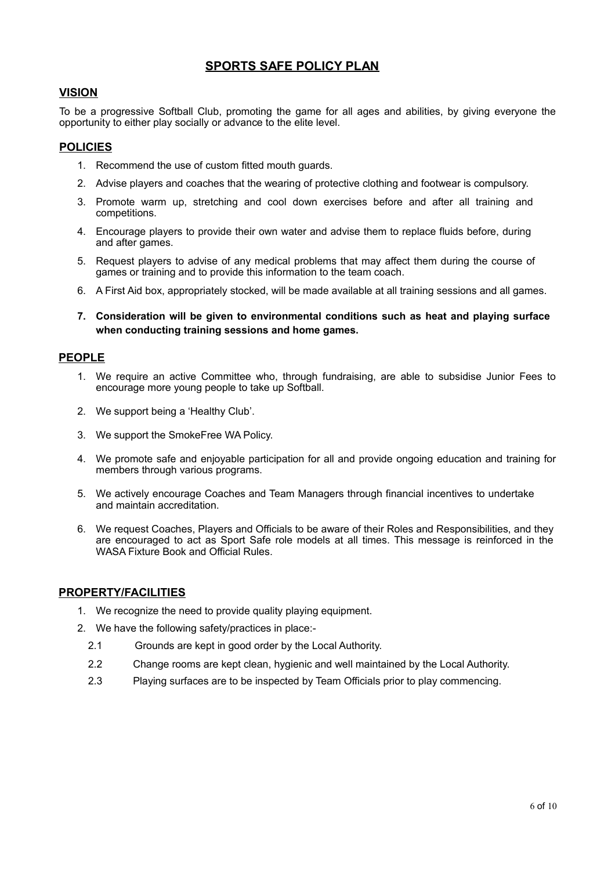# **SPORTS SAFE POLICY PLAN**

## **VISION**

To be a progressive Softball Club, promoting the game for all ages and abilities, by giving everyone the opportunity to either play socially or advance to the elite level.

## **POLICIES**

- 1. Recommend the use of custom fitted mouth guards.
- 2. Advise players and coaches that the wearing of protective clothing and footwear is compulsory.
- 3. Promote warm up, stretching and cool down exercises before and after all training and competitions.
- 4. Encourage players to provide their own water and advise them to replace fluids before, during and after games.
- 5. Request players to advise of any medical problems that may affect them during the course of games or training and to provide this information to the team coach.
- 6. A First Aid box, appropriately stocked, will be made available at all training sessions and all games.
- **7. Consideration will be given to environmental conditions such as heat and playing surface when conducting training sessions and home games.**

### **PEOPLE**

- 1. We require an active Committee who, through fundraising, are able to subsidise Junior Fees to encourage more young people to take up Softball.
- 2. We support being a 'Healthy Club'.
- 3. We support the SmokeFree WA Policy.
- 4. We promote safe and enjoyable participation for all and provide ongoing education and training for members through various programs.
- 5. We actively encourage Coaches and Team Managers through financial incentives to undertake and maintain accreditation.
- 6. We request Coaches, Players and Officials to be aware of their Roles and Responsibilities, and they are encouraged to act as Sport Safe role models at all times. This message is reinforced in the WASA Fixture Book and Official Rules.

### **PROPERTY/FACILITIES**

- 1. We recognize the need to provide quality playing equipment.
- 2. We have the following safety/practices in place:-
	- 2.1 Grounds are kept in good order by the Local Authority.
	- 2.2 Change rooms are kept clean, hygienic and well maintained by the Local Authority.
	- 2.3 Playing surfaces are to be inspected by Team Officials prior to play commencing.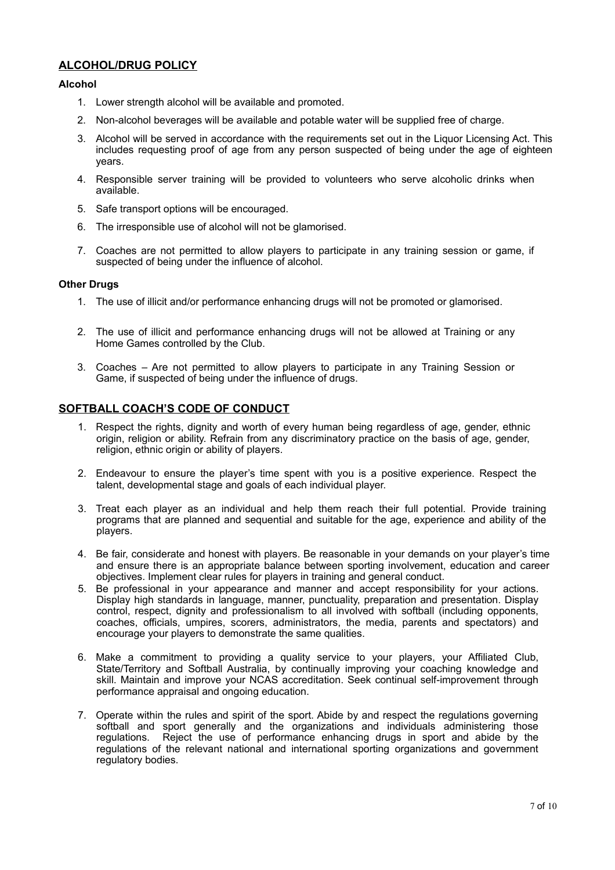## **ALCOHOL/DRUG POLICY**

### **Alcohol**

- 1. Lower strength alcohol will be available and promoted.
- 2. Non-alcohol beverages will be available and potable water will be supplied free of charge.
- 3. Alcohol will be served in accordance with the requirements set out in the Liquor Licensing Act. This includes requesting proof of age from any person suspected of being under the age of eighteen years.
- 4. Responsible server training will be provided to volunteers who serve alcoholic drinks when available.
- 5. Safe transport options will be encouraged.
- 6. The irresponsible use of alcohol will not be glamorised.
- 7. Coaches are not permitted to allow players to participate in any training session or game, if suspected of being under the influence of alcohol.

#### **Other Drugs**

- 1. The use of illicit and/or performance enhancing drugs will not be promoted or glamorised.
- 2. The use of illicit and performance enhancing drugs will not be allowed at Training or any Home Games controlled by the Club.
- 3. Coaches Are not permitted to allow players to participate in any Training Session or Game, if suspected of being under the influence of drugs.

## **SOFTBALL COACH'S CODE OF CONDUCT**

- 1. Respect the rights, dignity and worth of every human being regardless of age, gender, ethnic origin, religion or ability. Refrain from any discriminatory practice on the basis of age, gender, religion, ethnic origin or ability of players.
- 2. Endeavour to ensure the player's time spent with you is a positive experience. Respect the talent, developmental stage and goals of each individual player.
- 3. Treat each player as an individual and help them reach their full potential. Provide training programs that are planned and sequential and suitable for the age, experience and ability of the players. The contract of the contract of the contract of the contract of the contract of the contract of the contract of the contract of the contract of the contract of the contract of the contract of the contract of the c
- 4. Be fair, considerate and honest with players. Be reasonable in your demands on your player's time and ensure there is an appropriate balance between sporting involvement, education and career objectives. Implement clear rules for players in training and general conduct.
- 5. Be professional in your appearance and manner and accept responsibility for your actions. Display high standards in language, manner, punctuality, preparation and presentation. Display control, respect, dignity and professionalism to all involved with softball (including opponents, coaches, officials, umpires, scorers, administrators, the media, parents and spectators) and encourage your players to demonstrate the same qualities.
- 6. Make a commitment to providing a quality service to your players, your Affiliated Club, State/Territory and Softball Australia, by continually improving your coaching knowledge and skill. Maintain and improve your NCAS accreditation. Seek continual self-improvement through performance appraisal and ongoing education.
- 7. Operate within the rules and spirit of the sport. Abide by and respect the regulations governing softball and sport generally and the organizations and individuals administering those regulations. Reject the use of performance enhancing drugs in sport and abide by the regulations of the relevant national and international sporting organizations and government regulatory bodies.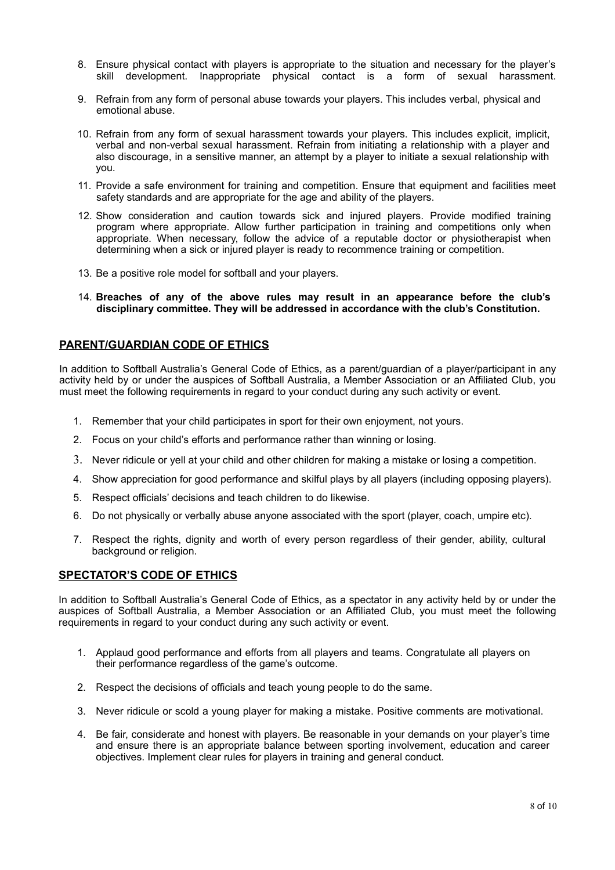- 8. Ensure physical contact with players is appropriate to the situation and necessary for the player's skill development. Inappropriate physical contact is a form of sexual harassment.
- 9. Refrain from any form of personal abuse towards your players. This includes verbal, physical and emotional abuse.
- 10. Refrain from any form of sexual harassment towards your players. This includes explicit, implicit, verbal and non-verbal sexual harassment. Refrain from initiating a relationship with a player and also discourage, in a sensitive manner, an attempt by a player to initiate a sexual relationship with you.
- 11. Provide a safe environment for training and competition. Ensure that equipment and facilities meet safety standards and are appropriate for the age and ability of the players.
- 12. Show consideration and caution towards sick and injured players. Provide modified training program where appropriate. Allow further participation in training and competitions only when appropriate. When necessary, follow the advice of a reputable doctor or physiotherapist when determining when a sick or injured player is ready to recommence training or competition.
- 13. Be a positive role model for softball and your players.
- 14. **Breaches of any of the above rules may result in an appearance before the club's disciplinary committee. They will be addressed in accordance with the club's Constitution.**

#### **PARENT/GUARDIAN CODE OF ETHICS**

In addition to Softball Australia's General Code of Ethics, as a parent/guardian of a player/participant in any activity held by or under the auspices of Softball Australia, a Member Association or an Affiliated Club, you must meet the following requirements in regard to your conduct during any such activity or event.

- 1. Remember that your child participates in sport for their own enjoyment, not yours.
- 2. Focus on your child's efforts and performance rather than winning or losing.
- 3. Never ridicule or yell at your child and other children for making a mistake or losing a competition.
- 4. Show appreciation for good performance and skilful plays by all players (including opposing players).
- 5. Respect officials' decisions and teach children to do likewise.
- 6. Do not physically or verbally abuse anyone associated with the sport (player, coach, umpire etc).
- 7. Respect the rights, dignity and worth of every person regardless of their gender, ability, cultural background or religion.

#### **SPECTATOR'S CODE OF ETHICS**

In addition to Softball Australia's General Code of Ethics, as a spectator in any activity held by or under the auspices of Softball Australia, a Member Association or an Affiliated Club, you must meet the following requirements in regard to your conduct during any such activity or event.

- 1. Applaud good performance and efforts from all players and teams. Congratulate all players on their performance regardless of the game's outcome.
- 2. Respect the decisions of officials and teach young people to do the same.
- 3. Never ridicule or scold a young player for making a mistake. Positive comments are motivational.
- 4. Be fair, considerate and honest with players. Be reasonable in your demands on your player's time and ensure there is an appropriate balance between sporting involvement, education and career objectives. Implement clear rules for players in training and general conduct.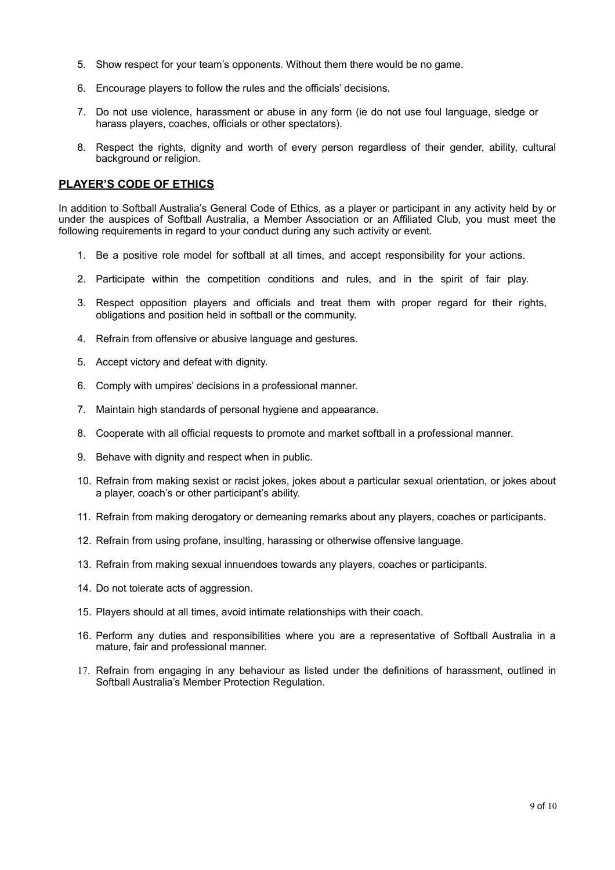- 5. Show respect for your team's opponents. Without them there would be no game.
- 6. Encourage players to follow the rules and the officials' decisions.
- 7. Do not use violence, harassment or abuse in any form (ie do not use foul language, sledge or harass players, coaches, officials or other spectators).
- 8. Respect the rights, dignity and worth of every person regardless of their gender, ability, cultural background or religion.

## **PLAYER'S CODE OF ETHICS**

In addition to Softball Australia's General Code of Ethics, as a player or participant in any activity held by or under the auspices of Softball Australia, a Member Association or an Affiliated Club, you must meet the following requirements in regard to your conduct during any such activity or event.

- 1. Be a positive role model for softball at all times, and accept responsibility for your actions.
- 2. Participate within the competition conditions and rules, and in the spirit of fair play.
- 3. Respect opposition players and officials and treat them with proper regard for their rights, obligations and position held in softball or the community.
- 4. Refrain from offensive or abusive language and gestures.
- 5. Accept victory and defeat with dignity.
- 6. Comply with umpires' decisions in a professional manner.
- 7. Maintain high standards of personal hygiene and appearance.
- 8. Cooperate with all official requests to promote and market softball in a professional manner.
- 9. Behave with dignity and respect when in public.
- 10. Refrain from making sexist or racist jokes, jokes about a particular sexual orientation, or jokes about a player, coach's or other participant's ability.
- 11. Refrain from making derogatory or demeaning remarks about any players, coaches or participants.
- 12. Refrain from using profane, insulting, harassing or otherwise offensive language.
- 13. Refrain from making sexual innuendoes towards any players, coaches or participants.
- 14. Do not tolerate acts of aggression.
- 15. Players should at all times, avoid intimate relationships with their coach.
- 16. Perform any duties and responsibilities where you are a representative of Softball Australia in a mature, fair and professional manner.
- 17. Refrain from engaging in any behaviour as listed under the definitions of harassment, outlined in Softball Australia's Member Protection Regulation.